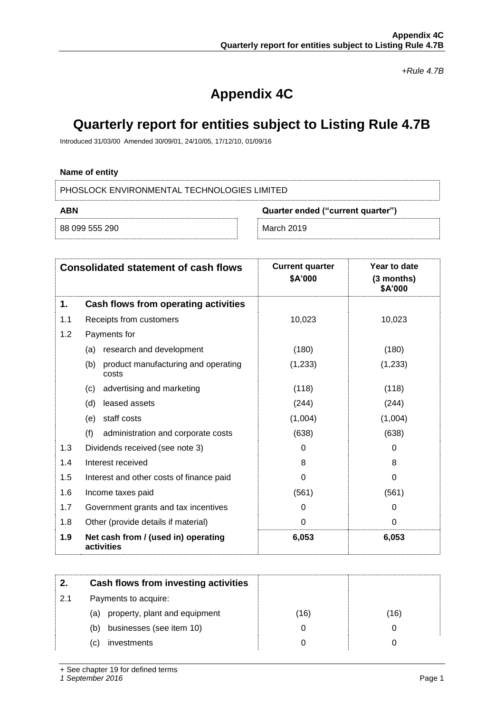*+Rule 4.7B*

# **Appendix 4C**

## **Quarterly report for entities subject to Listing Rule 4.7B**

Introduced 31/03/00 Amended 30/09/01, 24/10/05, 17/12/10, 01/09/16

## **Name of entity**

PHOSLOCK ENVIRONMENTAL TECHNOLOGIES LIMITED

| ABN            | Quarter ended ("current quarter") |  |
|----------------|-----------------------------------|--|
| 88 099 555 290 | March 2019                        |  |

|     | <b>Consolidated statement of cash flows</b>         | <b>Current quarter</b><br>\$A'000 | Year to date<br>$(3$ months)<br>\$A'000 |
|-----|-----------------------------------------------------|-----------------------------------|-----------------------------------------|
| 1.  | Cash flows from operating activities                |                                   |                                         |
| 1.1 | Receipts from customers                             | 10,023                            | 10,023                                  |
| 1.2 | Payments for                                        |                                   |                                         |
|     | research and development<br>(a)                     | (180)                             | (180)                                   |
|     | product manufacturing and operating<br>(b)<br>costs | (1,233)                           | (1,233)                                 |
|     | advertising and marketing<br>(c)                    | (118)                             | (118)                                   |
|     | (d)<br>leased assets                                | (244)                             | (244)                                   |
|     | staff costs<br>(e)                                  | (1,004)                           | (1,004)                                 |
|     | (f)<br>administration and corporate costs           | (638)                             | (638)                                   |
| 1.3 | Dividends received (see note 3)                     | 0                                 | $\Omega$                                |
| 1.4 | Interest received                                   | 8                                 | 8                                       |
| 1.5 | Interest and other costs of finance paid            | 0                                 | $\Omega$                                |
| 1.6 | Income taxes paid                                   | (561)                             | (561)                                   |
| 1.7 | Government grants and tax incentives                | 0                                 | 0                                       |
| 1.8 | Other (provide details if material)                 | 0                                 | $\Omega$                                |
| 1.9 | Net cash from / (used in) operating<br>activities   | 6,053                             | 6,053                                   |

| 2.  | Cash flows from investing activities |      |      |
|-----|--------------------------------------|------|------|
| 2.1 | Payments to acquire:                 |      |      |
|     | property, plant and equipment<br>(a) | (16) | (16) |
|     | businesses (see item 10)<br>(b)      |      |      |
|     | investments<br>(C)                   |      |      |
|     |                                      |      |      |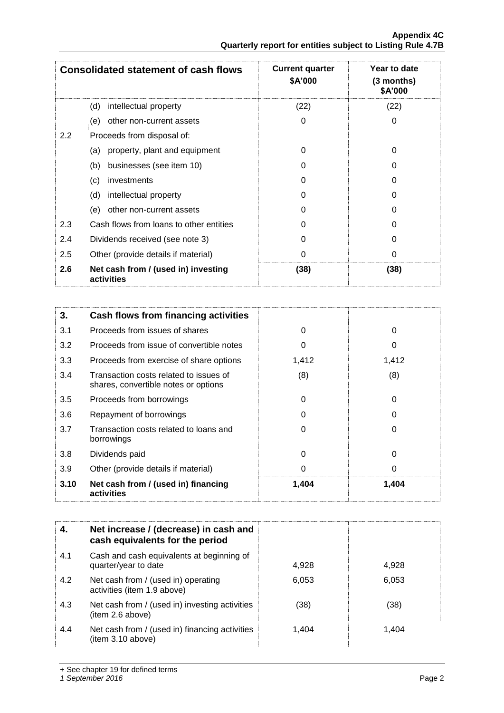|                  | <b>Consolidated statement of cash flows</b>       | <b>Current quarter</b><br><b>\$A'000</b> | Year to date<br>$(3$ months)<br>\$A'000 |
|------------------|---------------------------------------------------|------------------------------------------|-----------------------------------------|
|                  | intellectual property<br>(d)                      | (22)                                     | (22)                                    |
|                  | other non-current assets<br>(e)                   | 0                                        | 0                                       |
| $2.2\phantom{0}$ | Proceeds from disposal of:                        |                                          |                                         |
|                  | property, plant and equipment<br>(a)              | 0                                        | 0                                       |
|                  | businesses (see item 10)<br>(b)                   | O                                        |                                         |
|                  | (c)<br>investments                                | 0                                        | O                                       |
|                  | (d)<br>intellectual property                      | O                                        | O                                       |
|                  | (e)<br>other non-current assets                   | O                                        |                                         |
| 2.3              | Cash flows from loans to other entities           | 0                                        | O                                       |
| 2.4              | Dividends received (see note 3)                   | 0                                        |                                         |
| 2.5              | Other (provide details if material)               | 0                                        | 0                                       |
| 2.6              | Net cash from / (used in) investing<br>activities | (38)                                     | (38)                                    |

| 3.   | Cash flows from financing activities                                           |       |       |
|------|--------------------------------------------------------------------------------|-------|-------|
| 3.1  | Proceeds from issues of shares                                                 | 0     | 0     |
| 3.2  | Proceeds from issue of convertible notes                                       | O     | 0     |
| 3.3  | Proceeds from exercise of share options                                        | 1,412 | 1,412 |
| 3.4  | Transaction costs related to issues of<br>shares, convertible notes or options | (8)   | (8)   |
| 3.5  | Proceeds from borrowings                                                       | 0     | 0     |
| 3.6  | Repayment of borrowings                                                        | O     | O     |
| 3.7  | Transaction costs related to loans and<br>borrowings                           | 0     | O     |
| 3.8  | Dividends paid                                                                 | 0     | 0     |
| 3.9  | Other (provide details if material)                                            | 0     | 0     |
| 3.10 | Net cash from / (used in) financing<br>activities                              | 1,404 | 1,404 |

|     | Net increase / (decrease) in cash and<br>cash equivalents for the period |       |       |
|-----|--------------------------------------------------------------------------|-------|-------|
| 4.1 | Cash and cash equivalents at beginning of<br>quarter/year to date        | 4,928 | 4,928 |
| 4.2 | Net cash from / (used in) operating<br>activities (item 1.9 above)       | 6,053 | 6,053 |
| 4.3 | Net cash from / (used in) investing activities<br>(item 2.6 above)       | (38)  | (38)  |
| 4.4 | Net cash from / (used in) financing activities<br>(item 3.10 above)      | 1.404 | 1.404 |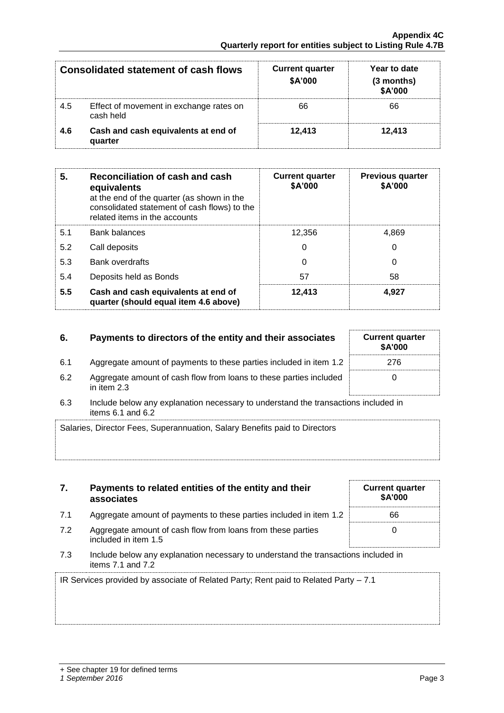|     | <b>Consolidated statement of cash flows</b>          | <b>Current quarter</b><br>\$A'000 | Year to date<br>(3 months)<br>\$A'000 |
|-----|------------------------------------------------------|-----------------------------------|---------------------------------------|
| 4.5 | Effect of movement in exchange rates on<br>cash held | 66                                | 66                                    |
| 4.6 | Cash and cash equivalents at end of<br>quarter       | 12.413                            | 12.413                                |

| 5.  | Reconciliation of cash and cash<br>equivalents<br>at the end of the quarter (as shown in the<br>consolidated statement of cash flows) to the<br>related items in the accounts | <b>Current quarter</b><br>\$A'000 | <b>Previous quarter</b><br>\$A'000 |
|-----|-------------------------------------------------------------------------------------------------------------------------------------------------------------------------------|-----------------------------------|------------------------------------|
| 5.1 | <b>Bank balances</b>                                                                                                                                                          | 12.356                            | 4.869                              |
| 5.2 | Call deposits                                                                                                                                                                 | 0                                 | 0                                  |
| 5.3 | <b>Bank overdrafts</b>                                                                                                                                                        | 0                                 | 0                                  |
| 5.4 | Deposits held as Bonds                                                                                                                                                        | 57                                | 58                                 |
| 5.5 | Cash and cash equivalents at end of<br>quarter (should equal item 4.6 above)                                                                                                  | 12,413                            | 4.927                              |

## **6.** Payments to directors of the entity and their associates Current quarter

- 6.1 Aggregate amount of payments to these parties included in item 1.2 276
- 6.2 Aggregate amount of cash flow from loans to these parties included in item 2.3
- 6.3 Include below any explanation necessary to understand the transactions in items  $6.1$  and  $6.2$

| Salaries, Director Fees, Superannuation, Salary Benefits paid to Directors |
|----------------------------------------------------------------------------|
|                                                                            |
|                                                                            |

| 7.  | Payments to related entities of the entity and their<br>associates | <b>Current quarter</b><br><b>\$A'000</b> |
|-----|--------------------------------------------------------------------|------------------------------------------|
| 7.1 | Aggregate amount of payments to these parties included in item 1.2 | 66                                       |
|     |                                                                    |                                          |

- 7.2 Aggregate amount of cash flow from loans from these parties included in item 1.5
- 7.3 Include below any explanation necessary to understand the transactions included in items 7.1 and 7.2

IR Services provided by associate of Related Party; Rent paid to Related Party – 7.1

|                    | 0 |
|--------------------|---|
| า <b>cluded in</b> |   |
|                    |   |

0

**\$A'000**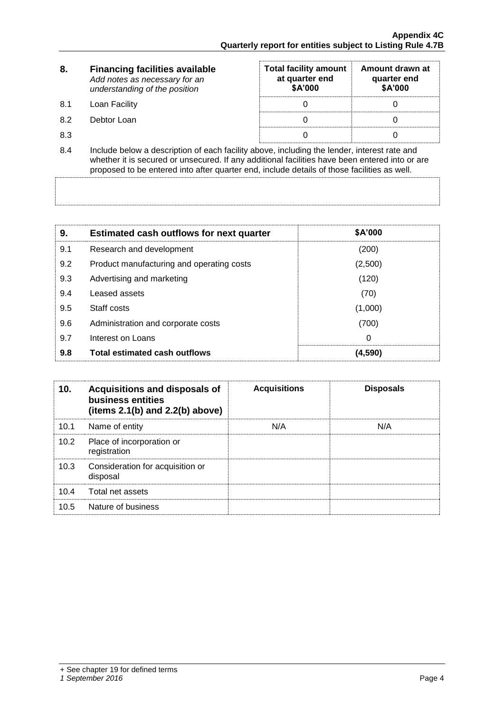| 8.  | <b>Financing facilities available</b><br>Add notes as necessary for an<br>understanding of the position                                                                                                                                                                                      | <b>Total facility amount</b><br>at quarter end<br>\$A'000 | Amount drawn at<br>quarter end<br>\$A'000 |
|-----|----------------------------------------------------------------------------------------------------------------------------------------------------------------------------------------------------------------------------------------------------------------------------------------------|-----------------------------------------------------------|-------------------------------------------|
| 8.1 | Loan Facility                                                                                                                                                                                                                                                                                |                                                           |                                           |
| 8.2 | Debtor Loan                                                                                                                                                                                                                                                                                  |                                                           |                                           |
| 8.3 |                                                                                                                                                                                                                                                                                              |                                                           |                                           |
| 8.4 | Include below a description of each facility above, including the lender, interest rate and<br>whether it is secured or unsecured. If any additional facilities have been entered into or are<br>proposed to be entered into after quarter end, include details of those facilities as well. |                                                           |                                           |

| 9.  | <b>Estimated cash outflows for next quarter</b> | <b>\$A'000</b> |
|-----|-------------------------------------------------|----------------|
| 9.1 | Research and development                        | (200)          |
| 9.2 | Product manufacturing and operating costs       | (2,500)        |
| 9.3 | Advertising and marketing                       | (120)          |
| 9.4 | Leased assets                                   | (70)           |
| 9.5 | Staff costs                                     | (1,000)        |
| 9.6 | Administration and corporate costs              | (700)          |
| 9.7 | Interest on Loans                               | 0              |
| 9.8 | <b>Total estimated cash outflows</b>            | (4,590)        |

| 10.  | Acquisitions and disposals of<br>business entities<br>(items $2.1(b)$ and $2.2(b)$ above) | <b>Acquisitions</b> | <b>Disposals</b> |
|------|-------------------------------------------------------------------------------------------|---------------------|------------------|
| 10.1 | Name of entity                                                                            | N/A                 | N/A              |
| 10.2 | Place of incorporation or<br>registration                                                 |                     |                  |
| 10.3 | Consideration for acquisition or<br>disposal                                              |                     |                  |
| 10.4 | Total net assets                                                                          |                     |                  |
| 10.5 | Nature of business                                                                        |                     |                  |